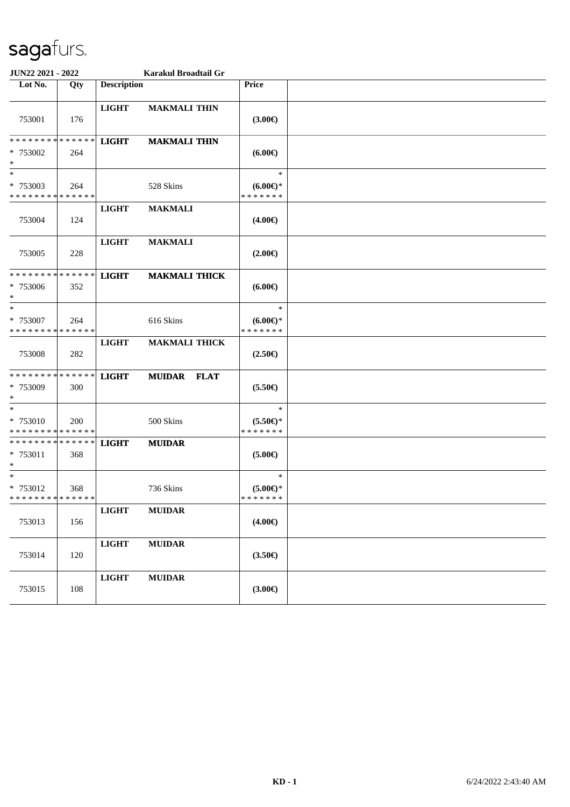| JUN22 2021 - 2022                                 |     |                    | Karakul Broadtail Gr |                                               |  |
|---------------------------------------------------|-----|--------------------|----------------------|-----------------------------------------------|--|
| Lot No.                                           | Qty | <b>Description</b> |                      | Price                                         |  |
| 753001                                            | 176 | <b>LIGHT</b>       | <b>MAKMALI THIN</b>  | $(3.00\epsilon)$                              |  |
| * * * * * * * * * * * * * *<br>* 753002<br>$*$    | 264 | <b>LIGHT</b>       | <b>MAKMALI THIN</b>  | (6.00)                                        |  |
| $\ast$<br>* 753003<br>* * * * * * * * * * * * * * | 264 |                    | 528 Skins            | $\ast$<br>$(6.00\epsilon)$ *<br>* * * * * * * |  |
| 753004                                            | 124 | <b>LIGHT</b>       | <b>MAKMALI</b>       | $(4.00\epsilon)$                              |  |
| 753005                                            | 228 | <b>LIGHT</b>       | <b>MAKMALI</b>       | $(2.00\epsilon)$                              |  |
| * * * * * * * * * * * * * *<br>* 753006<br>$*$    | 352 | <b>LIGHT</b>       | <b>MAKMALI THICK</b> | $(6.00\epsilon)$                              |  |
| $*$<br>* 753007<br>* * * * * * * * * * * * * *    | 264 |                    | 616 Skins            | $\ast$<br>$(6.00E)$ *<br>* * * * * * *        |  |
| 753008                                            | 282 | <b>LIGHT</b>       | <b>MAKMALI THICK</b> | $(2.50\epsilon)$                              |  |
| * * * * * * * * * * * * * *<br>* 753009<br>$*$    | 300 | <b>LIGHT</b>       | <b>MUIDAR FLAT</b>   | $(5.50\epsilon)$                              |  |
| $*$<br>* 753010<br>* * * * * * * * * * * * * *    | 200 |                    | 500 Skins            | $\ast$<br>$(5.50 \in )^*$<br>* * * * * * *    |  |
| * * * * * * * * * * * * * * *<br>* 753011<br>$*$  | 368 | <b>LIGHT</b>       | <b>MUIDAR</b>        | $(5.00\epsilon)$                              |  |
| $*$<br>* 753012<br>* * * * * * * * * * * * * * *  | 368 |                    | 736 Skins            | $\ast$<br>$(5.00 \in )$ *<br>* * * * * * *    |  |
| 753013                                            | 156 | <b>LIGHT</b>       | <b>MUIDAR</b>        | $(4.00\epsilon)$                              |  |
| 753014                                            | 120 | $_{\rm LIGHT}$     | <b>MUIDAR</b>        | $(3.50\epsilon)$                              |  |
| 753015                                            | 108 | $_{\rm LIGHT}$     | <b>MUIDAR</b>        | (3.00)                                        |  |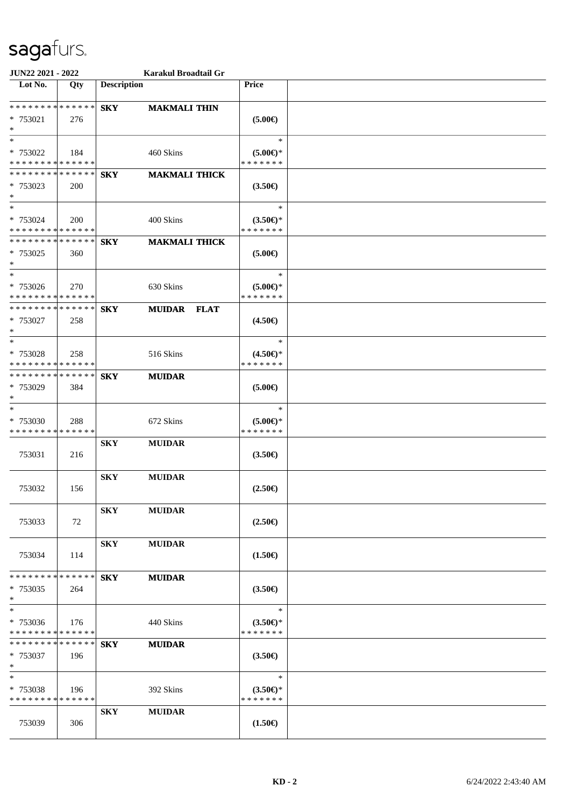| <b>JUN22 2021 - 2022</b>                                                          |            | Karakul Broadtail Gr                       |                                               |  |
|-----------------------------------------------------------------------------------|------------|--------------------------------------------|-----------------------------------------------|--|
| Lot No.                                                                           | Qty        | <b>Description</b>                         | Price                                         |  |
| * * * * * * * * * * * * * * *<br>* 753021<br>$\ast$                               | 276        | <b>SKY</b><br><b>MAKMALI THIN</b>          | $(5.00\epsilon)$                              |  |
| $*$<br>* 753022<br>* * * * * * * * * * * * * *                                    | 184        | 460 Skins                                  | $\ast$<br>$(5.00\epsilon)$ *<br>* * * * * * * |  |
| * * * * * * * * * * * * * * *<br>* 753023<br>$*$                                  | <b>200</b> | <b>MAKMALI THICK</b><br><b>SKY</b>         | $(3.50\epsilon)$                              |  |
| $\overline{\mathbf{r}}$<br>* 753024<br>* * * * * * * * <mark>* * * * * * *</mark> | <b>200</b> | 400 Skins                                  | $\ast$<br>$(3.50\epsilon)$ *<br>* * * * * * * |  |
| * * * * * * * * <mark>* * * * * * *</mark><br>* 753025<br>$*$                     | 360        | <b>MAKMALI THICK</b><br><b>SKY</b>         | $(5.00\epsilon)$                              |  |
| $*$<br>* 753026<br>* * * * * * * * * * * * * *                                    | 270        | 630 Skins                                  | $\ast$<br>$(5.00\epsilon)$ *<br>* * * * * * * |  |
| * * * * * * * * * * * * * *<br>* 753027<br>$\ast$                                 | 258        | <b>SKY</b><br><b>MUIDAR</b><br><b>FLAT</b> | $(4.50\epsilon)$                              |  |
| $*$<br>* 753028<br>* * * * * * * * * * * * * *                                    | 258        | 516 Skins                                  | $\ast$<br>$(4.50\epsilon)$ *<br>* * * * * * * |  |
| * * * * * * * * * * * * * * *<br>* 753029<br>$\ast$                               | 384        | <b>SKY</b><br><b>MUIDAR</b>                | $(5.00\epsilon)$                              |  |
| $*$<br>* 753030<br>* * * * * * * * * * * * * *                                    | 288        | 672 Skins                                  | $\ast$<br>$(5.00\epsilon)$ *<br>* * * * * * * |  |
| 753031                                                                            | 216        | <b>SKY</b><br><b>MUIDAR</b>                | $(3.50\epsilon)$                              |  |
| 753032                                                                            | 156        | <b>SKY</b><br><b>MUIDAR</b>                | $(2.50\epsilon)$                              |  |
| 753033                                                                            | 72         | <b>SKY</b><br><b>MUIDAR</b>                | $(2.50\epsilon)$                              |  |
| 753034                                                                            | 114        | <b>SKY</b><br><b>MUIDAR</b>                | $(1.50\epsilon)$                              |  |
| * * * * * * * * <mark>* * * * * *</mark><br>* 753035<br>$\ast$                    | 264        | <b>SKY</b><br><b>MUIDAR</b>                | $(3.50\epsilon)$                              |  |
| $*$<br>* 753036<br>* * * * * * * * * * * * * *                                    | 176        | 440 Skins                                  | $\ast$<br>$(3.50\epsilon)$ *<br>* * * * * * * |  |
| * * * * * * * * <mark>* * * * * *</mark><br>* 753037<br>$\ast$                    | 196        | <b>SKY</b><br><b>MUIDAR</b>                | $(3.50\epsilon)$                              |  |
| $\ast$<br>* 753038<br>* * * * * * * * * * * * * *                                 | 196        | 392 Skins                                  | $\ast$<br>$(3.50\epsilon)$ *<br>* * * * * * * |  |
| 753039                                                                            | 306        | <b>SKY</b><br><b>MUIDAR</b>                | $(1.50\epsilon)$                              |  |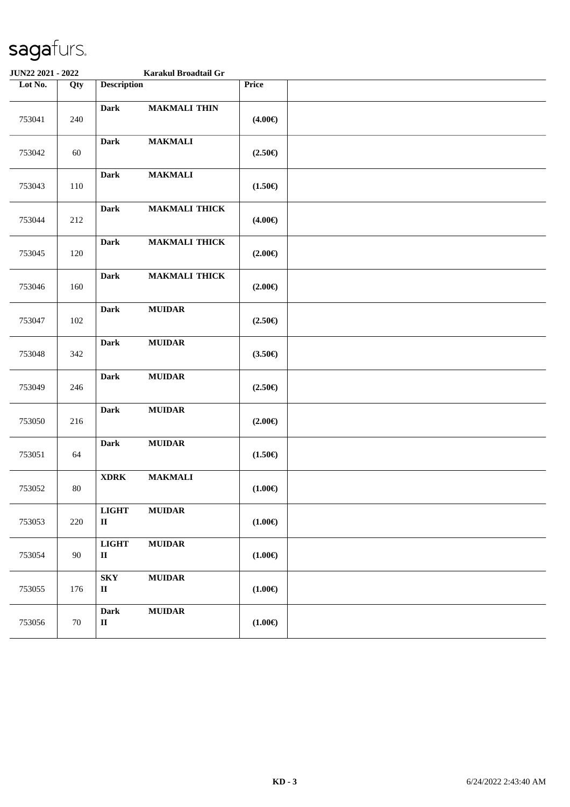| JUN22 2021 - 2022 |        |                                     | Karakul Broadtail Gr |                  |  |
|-------------------|--------|-------------------------------------|----------------------|------------------|--|
| Lot No.           | Qty    | <b>Description</b>                  |                      | Price            |  |
| 753041            | 240    | <b>Dark</b>                         | <b>MAKMALI THIN</b>  | $(4.00\epsilon)$ |  |
| 753042            | $60\,$ | <b>Dark</b>                         | <b>MAKMALI</b>       | $(2.50\epsilon)$ |  |
| 753043            | 110    | <b>Dark</b>                         | <b>MAKMALI</b>       | $(1.50\epsilon)$ |  |
| 753044            | 212    | <b>Dark</b>                         | <b>MAKMALI THICK</b> | $(4.00\epsilon)$ |  |
| 753045            | 120    | <b>Dark</b>                         | <b>MAKMALI THICK</b> | $(2.00\epsilon)$ |  |
| 753046            | 160    | <b>Dark</b>                         | <b>MAKMALI THICK</b> | $(2.00\epsilon)$ |  |
| 753047            | 102    | <b>Dark</b>                         | <b>MUIDAR</b>        | $(2.50\epsilon)$ |  |
| 753048            | 342    | <b>Dark</b>                         | <b>MUIDAR</b>        | $(3.50\epsilon)$ |  |
| 753049            | 246    | <b>Dark</b>                         | ${\bf MUIDAR}$       | $(2.50\epsilon)$ |  |
| 753050            | 216    | <b>Dark</b>                         | <b>MUIDAR</b>        | $(2.00\epsilon)$ |  |
| 753051            | 64     | <b>Dark</b>                         | ${\bf MUIDAR}$       | $(1.50\epsilon)$ |  |
| 753052            | $80\,$ | $\bold{XDRK}$                       | <b>MAKMALI</b>       | $(1.00\epsilon)$ |  |
| 753053            | 220    | <b>LIGHT</b><br>$\rm II$            | <b>MUIDAR</b>        | $(1.00\epsilon)$ |  |
| 753054            | 90     | <b>LIGHT</b><br>$\rm II$            | <b>MUIDAR</b>        | $(1.00\epsilon)$ |  |
| 753055            | 176    | ${\bf S}{\bf K}{\bf Y}$<br>$\rm II$ | <b>MUIDAR</b>        | $(1.00\epsilon)$ |  |
| 753056            | 70     | Dark<br>$\rm II$                    | <b>MUIDAR</b>        | $(1.00\epsilon)$ |  |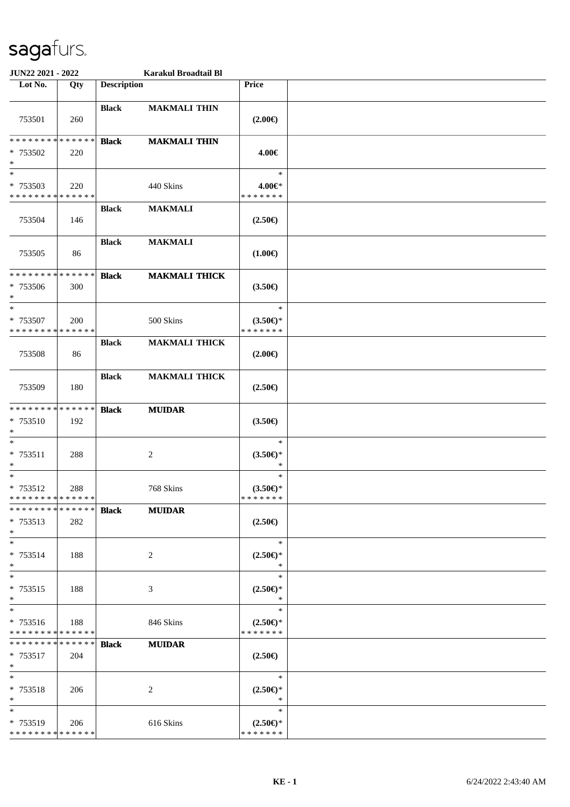| JUN22 2021 - 2022                                   |     |                    | Karakul Broadtail Bl |                                            |  |
|-----------------------------------------------------|-----|--------------------|----------------------|--------------------------------------------|--|
| Lot No.                                             | Qty | <b>Description</b> |                      | Price                                      |  |
| 753501                                              | 260 | <b>Black</b>       | <b>MAKMALI THIN</b>  | $(2.00\epsilon)$                           |  |
| * * * * * * * * * * * * * *<br>* 753502<br>$\ast$   | 220 | <b>Black</b>       | <b>MAKMALI THIN</b>  | 4.00€                                      |  |
| $\ast$<br>* 753503<br>* * * * * * * * * * * * * *   | 220 |                    | 440 Skins            | $\ast$<br>4.00€*<br>* * * * * * *          |  |
| 753504                                              | 146 | <b>Black</b>       | <b>MAKMALI</b>       | $(2.50\epsilon)$                           |  |
| 753505                                              | 86  | <b>Black</b>       | <b>MAKMALI</b>       | $(1.00\epsilon)$                           |  |
| * * * * * * * * * * * * * *<br>* 753506<br>$\ast$   | 300 | <b>Black</b>       | <b>MAKMALI THICK</b> | $(3.50\epsilon)$                           |  |
| $\ast$<br>* 753507<br>* * * * * * * * * * * * * *   | 200 |                    | 500 Skins            | $\ast$<br>$(3.50 \in )^*$<br>* * * * * * * |  |
| 753508                                              | 86  | <b>Black</b>       | <b>MAKMALI THICK</b> | $(2.00\epsilon)$                           |  |
| 753509                                              | 180 | <b>Black</b>       | <b>MAKMALI THICK</b> | $(2.50\epsilon)$                           |  |
| * * * * * * * * * * * * * *<br>* 753510<br>$\ast$   | 192 | <b>Black</b>       | <b>MUIDAR</b>        | $(3.50\epsilon)$                           |  |
| $\ast$<br>* 753511<br>$*$                           | 288 |                    | $\overline{c}$       | $\ast$<br>$(3.50 \in )^*$<br>$\ast$        |  |
| $\ast$<br>* 753512<br>* * * * * * * * * * * * * *   | 288 |                    | 768 Skins            | $\ast$<br>$(3.50 \in )^*$<br>* * * * * * * |  |
| * * * * * * * * * * * * * *<br>$* 753513$<br>$\ast$ | 282 | <b>Black</b>       | <b>MUIDAR</b>        | $(2.50\epsilon)$                           |  |
| $\ast$<br>* 753514<br>$*$                           | 188 |                    | 2                    | $\ast$<br>$(2.50 \in )^*$<br>∗             |  |
| $*$<br>* 753515<br>$*$                              | 188 |                    | 3                    | $\ast$<br>$(2.50 \in )^*$<br>$\ast$        |  |
| $\ast$<br>* 753516<br>* * * * * * * * * * * * * *   | 188 |                    | 846 Skins            | $\ast$<br>$(2.50 \in )^*$<br>* * * * * * * |  |
| * * * * * * * * * * * * * *<br>* 753517<br>$*$      | 204 | <b>Black</b>       | <b>MUIDAR</b>        | $(2.50\epsilon)$                           |  |
| $\ast$<br>* 753518<br>$*$                           | 206 |                    | $\overline{c}$       | $\ast$<br>$(2.50 \in )^*$<br>$\ast$        |  |
| $\ast$<br>* 753519<br>* * * * * * * * * * * * * *   | 206 |                    | 616 Skins            | $\ast$<br>$(2.50 \in )^*$<br>* * * * * * * |  |